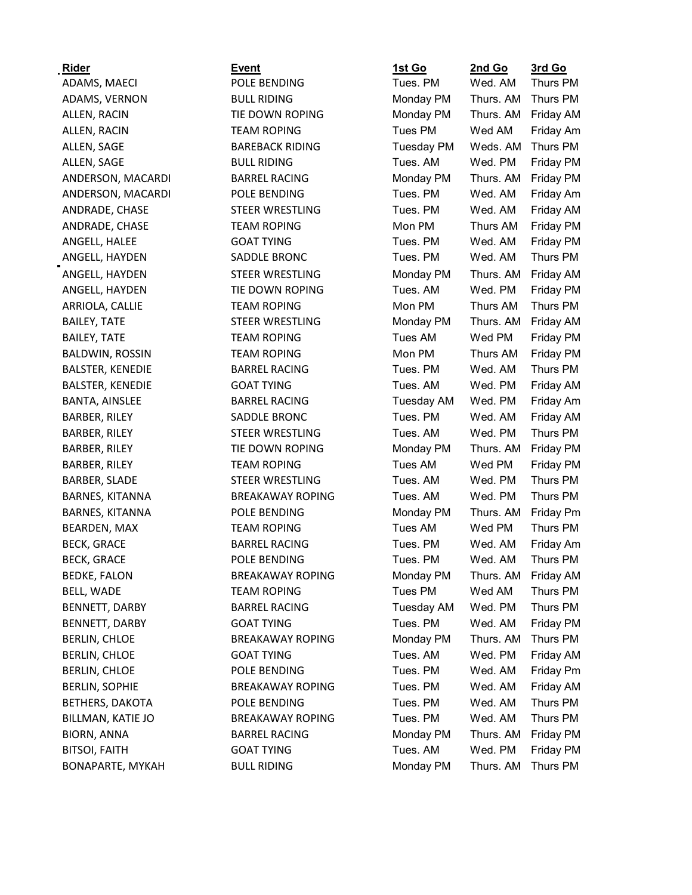| <b>Rider</b>            | <b>Event</b>            | 1st Go            | 2nd Go    | 3rd Go    |
|-------------------------|-------------------------|-------------------|-----------|-----------|
| ADAMS, MAECI            | POLE BENDING            | Tues. PM          | Wed. AM   | Thurs PM  |
| ADAMS, VERNON           | <b>BULL RIDING</b>      | Monday PM         | Thurs. AM | Thurs PM  |
| ALLEN, RACIN            | TIE DOWN ROPING         | Monday PM         | Thurs. AM | Friday AM |
| ALLEN, RACIN            | <b>TEAM ROPING</b>      | Tues PM           | Wed AM    | Friday Am |
| ALLEN, SAGE             | <b>BAREBACK RIDING</b>  | <b>Tuesday PM</b> | Weds. AM  | Thurs PM  |
| ALLEN, SAGE             | <b>BULL RIDING</b>      | Tues. AM          | Wed. PM   | Friday PM |
| ANDERSON, MACARDI       | <b>BARREL RACING</b>    | Monday PM         | Thurs. AM | Friday PM |
| ANDERSON, MACARDI       | POLE BENDING            | Tues. PM          | Wed. AM   | Friday Am |
| ANDRADE, CHASE          | STEER WRESTLING         | Tues. PM          | Wed. AM   | Friday AM |
| ANDRADE, CHASE          | <b>TEAM ROPING</b>      | Mon PM            | Thurs AM  | Friday PM |
| ANGELL, HALEE           | <b>GOAT TYING</b>       | Tues. PM          | Wed. AM   | Friday PM |
| ANGELL, HAYDEN          | SADDLE BRONC            | Tues. PM          | Wed. AM   | Thurs PM  |
| ANGELL, HAYDEN          | STEER WRESTLING         | Monday PM         | Thurs. AM | Friday AM |
| ANGELL, HAYDEN          | TIE DOWN ROPING         | Tues. AM          | Wed. PM   | Friday PM |
| ARRIOLA, CALLIE         | <b>TEAM ROPING</b>      | Mon PM            | Thurs AM  | Thurs PM  |
| <b>BAILEY, TATE</b>     | STEER WRESTLING         | Monday PM         | Thurs. AM | Friday AM |
| <b>BAILEY, TATE</b>     | <b>TEAM ROPING</b>      | Tues AM           | Wed PM    | Friday PM |
| <b>BALDWIN, ROSSIN</b>  | <b>TEAM ROPING</b>      | Mon PM            | Thurs AM  | Friday PM |
| <b>BALSTER, KENEDIE</b> | <b>BARREL RACING</b>    | Tues. PM          | Wed. AM   | Thurs PM  |
| <b>BALSTER, KENEDIE</b> | <b>GOAT TYING</b>       | Tues. AM          | Wed. PM   | Friday AM |
| BANTA, AINSLEE          | <b>BARREL RACING</b>    | <b>Tuesday AM</b> | Wed. PM   | Friday Am |
| BARBER, RILEY           | SADDLE BRONC            | Tues. PM          | Wed. AM   | Friday AM |
| <b>BARBER, RILEY</b>    | STEER WRESTLING         | Tues. AM          | Wed. PM   | Thurs PM  |
| BARBER, RILEY           | TIE DOWN ROPING         | Monday PM         | Thurs. AM | Friday PM |
| BARBER, RILEY           | <b>TEAM ROPING</b>      | Tues AM           | Wed PM    | Friday PM |
| <b>BARBER, SLADE</b>    | STEER WRESTLING         | Tues. AM          | Wed. PM   | Thurs PM  |
| BARNES, KITANNA         | <b>BREAKAWAY ROPING</b> | Tues. AM          | Wed. PM   | Thurs PM  |
| BARNES, KITANNA         | POLE BENDING            | Monday PM         | Thurs. AM | Friday Pm |
| <b>BEARDEN, MAX</b>     | <b>TEAM ROPING</b>      | Tues AM           | Wed PM    | Thurs PM  |
| <b>BECK, GRACE</b>      | <b>BARREL RACING</b>    | Tues. PM          | Wed. AM   | Friday Am |
| <b>BECK, GRACE</b>      | POLE BENDING            | Tues. PM          | Wed. AM   | Thurs PM  |
| <b>BEDKE, FALON</b>     | <b>BREAKAWAY ROPING</b> | Monday PM         | Thurs. AM | Friday AM |
| BELL, WADE              | <b>TEAM ROPING</b>      | Tues PM           | Wed AM    | Thurs PM  |
| BENNETT, DARBY          | <b>BARREL RACING</b>    | <b>Tuesday AM</b> | Wed. PM   | Thurs PM  |
| BENNETT, DARBY          | <b>GOAT TYING</b>       | Tues. PM          | Wed. AM   | Friday PM |
| <b>BERLIN, CHLOE</b>    | <b>BREAKAWAY ROPING</b> | Monday PM         | Thurs. AM | Thurs PM  |
| <b>BERLIN, CHLOE</b>    | <b>GOAT TYING</b>       | Tues. AM          | Wed. PM   | Friday AM |
| <b>BERLIN, CHLOE</b>    | POLE BENDING            | Tues. PM          | Wed. AM   | Friday Pm |
| <b>BERLIN, SOPHIE</b>   | <b>BREAKAWAY ROPING</b> | Tues. PM          | Wed. AM   | Friday AM |
| <b>BETHERS, DAKOTA</b>  | POLE BENDING            | Tues. PM          | Wed. AM   | Thurs PM  |
| BILLMAN, KATIE JO       | <b>BREAKAWAY ROPING</b> | Tues. PM          | Wed. AM   | Thurs PM  |
| <b>BIORN, ANNA</b>      | <b>BARREL RACING</b>    | Monday PM         | Thurs. AM | Friday PM |
| <b>BITSOI, FAITH</b>    | <b>GOAT TYING</b>       | Tues. AM          | Wed. PM   | Friday PM |
| BONAPARTE, MYKAH        | <b>BULL RIDING</b>      | Monday PM         | Thurs. AM | Thurs PM  |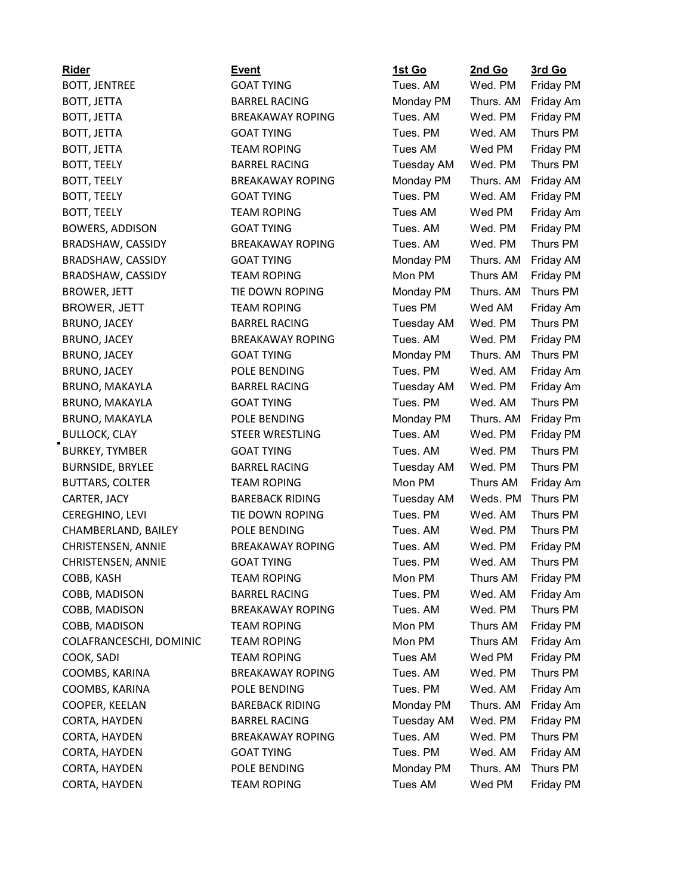| <b>Rider</b>            | <b>Event</b>            | 1st Go            | 2nd Go          | <u>3rd Go</u>    |
|-------------------------|-------------------------|-------------------|-----------------|------------------|
| <b>BOTT, JENTREE</b>    | <b>GOAT TYING</b>       | Tues. AM          | Wed. PM         | <b>Friday PM</b> |
| BOTT, JETTA             | <b>BARREL RACING</b>    | Monday PM         | Thurs. AM       | Friday Am        |
| BOTT, JETTA             | <b>BREAKAWAY ROPING</b> | Tues. AM          | Wed. PM         | Friday PM        |
| BOTT, JETTA             | <b>GOAT TYING</b>       | Tues, PM          | Wed. AM         | Thurs PM         |
| BOTT, JETTA             | <b>TEAM ROPING</b>      | Tues AM           | Wed PM          | Friday PM        |
| <b>BOTT, TEELY</b>      | <b>BARREL RACING</b>    | <b>Tuesday AM</b> | Wed. PM         | Thurs PM         |
| <b>BOTT, TEELY</b>      | <b>BREAKAWAY ROPING</b> | Monday PM         | Thurs. AM       | Friday AM        |
| <b>BOTT, TEELY</b>      | <b>GOAT TYING</b>       | Tues. PM          | Wed. AM         | Friday PM        |
| <b>BOTT, TEELY</b>      | <b>TEAM ROPING</b>      | Tues AM           | Wed PM          | Friday Am        |
| <b>BOWERS, ADDISON</b>  | <b>GOAT TYING</b>       | Tues. AM          | Wed. PM         | Friday PM        |
| BRADSHAW, CASSIDY       | <b>BREAKAWAY ROPING</b> | Tues. AM          | Wed. PM         | Thurs PM         |
| BRADSHAW, CASSIDY       | <b>GOAT TYING</b>       | Monday PM         | Thurs. AM       | Friday AM        |
| BRADSHAW, CASSIDY       | <b>TEAM ROPING</b>      | Mon PM            | Thurs AM        | Friday PM        |
| <b>BROWER, JETT</b>     | TIE DOWN ROPING         | Monday PM         | Thurs. AM       | Thurs PM         |
| <b>BROWER, JETT</b>     | <b>TEAM ROPING</b>      | Tues PM           | Wed AM          | Friday Am        |
| <b>BRUNO, JACEY</b>     | <b>BARREL RACING</b>    | Tuesday AM        | Wed. PM         | Thurs PM         |
| <b>BRUNO, JACEY</b>     | <b>BREAKAWAY ROPING</b> | Tues. AM          | Wed. PM         | Friday PM        |
| <b>BRUNO, JACEY</b>     | <b>GOAT TYING</b>       | Monday PM         | Thurs. AM       | Thurs PM         |
| <b>BRUNO, JACEY</b>     | POLE BENDING            | Tues. PM          | Wed. AM         | Friday Am        |
| BRUNO, MAKAYLA          | <b>BARREL RACING</b>    | <b>Tuesday AM</b> | Wed. PM         | Friday Am        |
| <b>BRUNO, MAKAYLA</b>   | <b>GOAT TYING</b>       | Tues. PM          | Wed. AM         | Thurs PM         |
| <b>BRUNO, MAKAYLA</b>   | POLE BENDING            | Monday PM         | Thurs. AM       | Friday Pm        |
| <b>BULLOCK, CLAY</b>    | STEER WRESTLING         | Tues. AM          | Wed. PM         | Friday PM        |
| <b>BURKEY, TYMBER</b>   | <b>GOAT TYING</b>       | Tues. AM          | Wed. PM         | Thurs PM         |
| <b>BURNSIDE, BRYLEE</b> | <b>BARREL RACING</b>    | <b>Tuesday AM</b> | Wed. PM         | Thurs PM         |
| <b>BUTTARS, COLTER</b>  | <b>TEAM ROPING</b>      | Mon PM            | Thurs AM        | Friday Am        |
| CARTER, JACY            | <b>BAREBACK RIDING</b>  | <b>Tuesday AM</b> | Weds. PM        | Thurs PM         |
| CEREGHINO, LEVI         | TIE DOWN ROPING         | Tues. PM          | Wed. AM         | Thurs PM         |
| CHAMBERLAND, BAILEY     | POLE BENDING            | Tues. AM          | Wed. PM         | Thurs PM         |
| CHRISTENSEN, ANNIE      | <b>BREAKAWAY ROPING</b> | Tues. AM          | Wed. PM         | Friday PM        |
| CHRISTENSEN, ANNIE      | <b>GOAT TYING</b>       | Tues. PM          | Wed. AM         | Thurs PM         |
| COBB, KASH              | <b>TEAM ROPING</b>      | Mon PM            | <b>Thurs AM</b> | Friday PM        |
| COBB, MADISON           | <b>BARREL RACING</b>    | Tues. PM          | Wed. AM         | Friday Am        |
| COBB, MADISON           | <b>BREAKAWAY ROPING</b> | Tues. AM          | Wed. PM         | Thurs PM         |
| COBB, MADISON           | <b>TEAM ROPING</b>      | Mon PM            | Thurs AM        | Friday PM        |
| COLAFRANCESCHI, DOMINIC | <b>TEAM ROPING</b>      | Mon PM            | Thurs AM        | Friday Am        |
| COOK, SADI              | <b>TEAM ROPING</b>      | Tues AM           | Wed PM          | Friday PM        |
| COOMBS, KARINA          | <b>BREAKAWAY ROPING</b> | Tues. AM          | Wed. PM         | Thurs PM         |
| COOMBS, KARINA          | POLE BENDING            | Tues. PM          | Wed. AM         | Friday Am        |
| COOPER, KEELAN          | <b>BAREBACK RIDING</b>  | Monday PM         | Thurs. AM       | Friday Am        |
| CORTA, HAYDEN           | <b>BARREL RACING</b>    | <b>Tuesday AM</b> | Wed. PM         | Friday PM        |
| CORTA, HAYDEN           | <b>BREAKAWAY ROPING</b> | Tues. AM          | Wed. PM         | Thurs PM         |
| CORTA, HAYDEN           | <b>GOAT TYING</b>       | Tues. PM          | Wed. AM         | Friday AM        |
| CORTA, HAYDEN           | POLE BENDING            | Monday PM         | Thurs. AM       | Thurs PM         |
| CORTA, HAYDEN           | <b>TEAM ROPING</b>      | Tues AM           | Wed PM          | Friday PM        |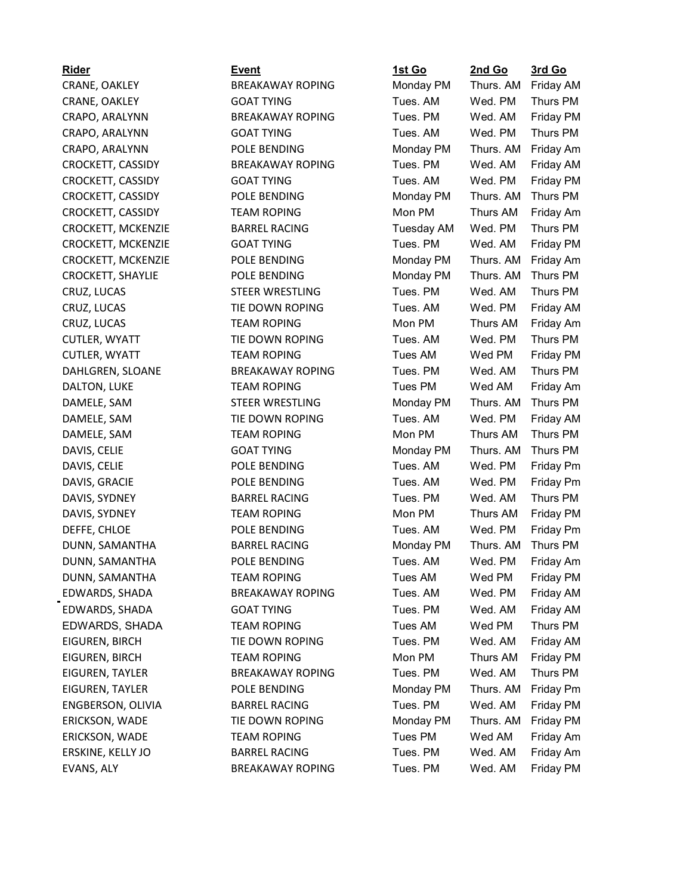# CRAPO, ARALYNN GOAT TYING CROCKETT, CASSIDY POLE BENDING CROCKETT, MCKENZIE BARREL RACING CROCKETT, SHAYLIE POLE BENDING CRUZ, LUCAS STEER WRESTLING CUTLER, WYATT TIE DOWN ROPING DAHLGREN, SLOANE BREAKAWAY ROPING DAMELE, SAM STEER WRESTLING DAMELE, SAM TEAM ROPING DAVIS, SYDNEY BARREL RACING DUNN, SAMANTHA BARREL RACING EDWARDS, SHADA TEAM ROPING EIGUREN, TAYLER BREAKAWAY ROPING

| <b>Rider</b>              | Event                   | <u>1st Go</u> | 2nd Go    | <u>3rd Go</u>    |
|---------------------------|-------------------------|---------------|-----------|------------------|
| CRANE, OAKLEY             | <b>BREAKAWAY ROPING</b> | Monday PM     | Thurs. AM | Friday AM        |
| CRANE, OAKLEY             | <b>GOAT TYING</b>       | Tues. AM      | Wed. PM   | Thurs PM         |
| CRAPO, ARALYNN            | <b>BREAKAWAY ROPING</b> | Tues. PM      | Wed. AM   | Friday PM        |
| CRAPO, ARALYNN            | <b>GOAT TYING</b>       | Tues. AM      | Wed. PM   | Thurs PM         |
| CRAPO, ARALYNN            | POLE BENDING            | Monday PM     | Thurs. AM | Friday Am        |
| CROCKETT, CASSIDY         | <b>BREAKAWAY ROPING</b> | Tues. PM      | Wed. AM   | Friday AM        |
| CROCKETT, CASSIDY         | <b>GOAT TYING</b>       | Tues. AM      | Wed. PM   | Friday PM        |
| CROCKETT, CASSIDY         | POLE BENDING            | Monday PM     | Thurs. AM | Thurs PM         |
| CROCKETT, CASSIDY         | <b>TEAM ROPING</b>      | Mon PM        | Thurs AM  | Friday Am        |
| <b>CROCKETT, MCKENZIE</b> | <b>BARREL RACING</b>    | Tuesday AM    | Wed. PM   | Thurs PM         |
| CROCKETT, MCKENZIE        | <b>GOAT TYING</b>       | Tues. PM      | Wed. AM   | Friday PM        |
| CROCKETT, MCKENZIE        | POLE BENDING            | Monday PM     | Thurs. AM | Friday Am        |
| <b>CROCKETT, SHAYLIE</b>  | POLE BENDING            | Monday PM     | Thurs. AM | Thurs PM         |
| CRUZ, LUCAS               | <b>STEER WRESTLING</b>  | Tues. PM      | Wed. AM   | Thurs PM         |
| CRUZ, LUCAS               | TIE DOWN ROPING         | Tues. AM      | Wed. PM   | Friday AM        |
| CRUZ, LUCAS               | <b>TEAM ROPING</b>      | Mon PM        | Thurs AM  | Friday Am        |
| <b>CUTLER, WYATT</b>      | TIE DOWN ROPING         | Tues. AM      | Wed. PM   | Thurs PM         |
| CUTLER, WYATT             | <b>TEAM ROPING</b>      | Tues AM       | Wed PM    | <b>Friday PM</b> |
| DAHLGREN, SLOANE          | <b>BREAKAWAY ROPING</b> | Tues. PM      | Wed, AM   | Thurs PM         |
| DALTON, LUKE              | <b>TEAM ROPING</b>      | Tues PM       | Wed AM    | Friday Am        |
| DAMELE, SAM               | <b>STEER WRESTLING</b>  | Monday PM     | Thurs. AM | Thurs PM         |
| DAMELE, SAM               | TIE DOWN ROPING         | Tues. AM      | Wed. PM   | Friday AM        |
| DAMELE, SAM               | <b>TEAM ROPING</b>      | Mon PM        | Thurs AM  | Thurs PM         |
| DAVIS, CELIE              | <b>GOAT TYING</b>       | Monday PM     | Thurs. AM | Thurs PM         |
| DAVIS, CELIE              | POLE BENDING            | Tues. AM      | Wed. PM   | Friday Pm        |
| DAVIS, GRACIE             | POLE BENDING            | Tues. AM      | Wed. PM   | Friday Pm        |
| DAVIS, SYDNEY             | <b>BARREL RACING</b>    | Tues. PM      | Wed. AM   | Thurs PM         |
| DAVIS, SYDNEY             | <b>TEAM ROPING</b>      | Mon PM        | Thurs AM  | Friday PM        |
| DEFFE, CHLOE              | POLE BENDING            | Tues. AM      | Wed. PM   | Friday Pm        |
| DUNN, SAMANTHA            | <b>BARREL RACING</b>    | Monday PM     | Thurs. AM | Thurs PM         |
| DUNN, SAMANTHA            | POLE BENDING            | Tues, AM      | Wed. PM   | Friday Am        |
| DUNN, SAMANTHA            | <b>TEAM ROPING</b>      | Tues AM       | Wed PM    | Friday PM        |
| EDWARDS, SHADA            | <b>BREAKAWAY ROPING</b> | Tues. AM      | Wed. PM   | Friday AM        |
| EDWARDS, SHADA            | <b>GOAT TYING</b>       | Tues. PM      | Wed. AM   | Friday AM        |
| EDWARDS, SHADA            | <b>TEAM ROPING</b>      | Tues AM       | Wed PM    | Thurs PM         |
| EIGUREN, BIRCH            | TIE DOWN ROPING         | Tues. PM      | Wed. AM   | Friday AM        |
| EIGUREN, BIRCH            | <b>TEAM ROPING</b>      | Mon PM        | Thurs AM  | Friday PM        |
| EIGUREN, TAYLER           | <b>BREAKAWAY ROPING</b> | Tues. PM      | Wed. AM   | Thurs PM         |
| <b>EIGUREN, TAYLER</b>    | POLE BENDING            | Monday PM     | Thurs. AM | Friday Pm        |
| ENGBERSON, OLIVIA         | <b>BARREL RACING</b>    | Tues. PM      | Wed. AM   | Friday PM        |
| ERICKSON, WADE            | TIE DOWN ROPING         | Monday PM     | Thurs. AM | Friday PM        |
| ERICKSON, WADE            | <b>TEAM ROPING</b>      | Tues PM       | Wed AM    | Friday Am        |
| ERSKINE, KELLY JO         | <b>BARREL RACING</b>    | Tues. PM      | Wed. AM   | Friday Am        |
| EVANS, ALY                | <b>BREAKAWAY ROPING</b> | Tues. PM      | Wed. AM   | Friday PM        |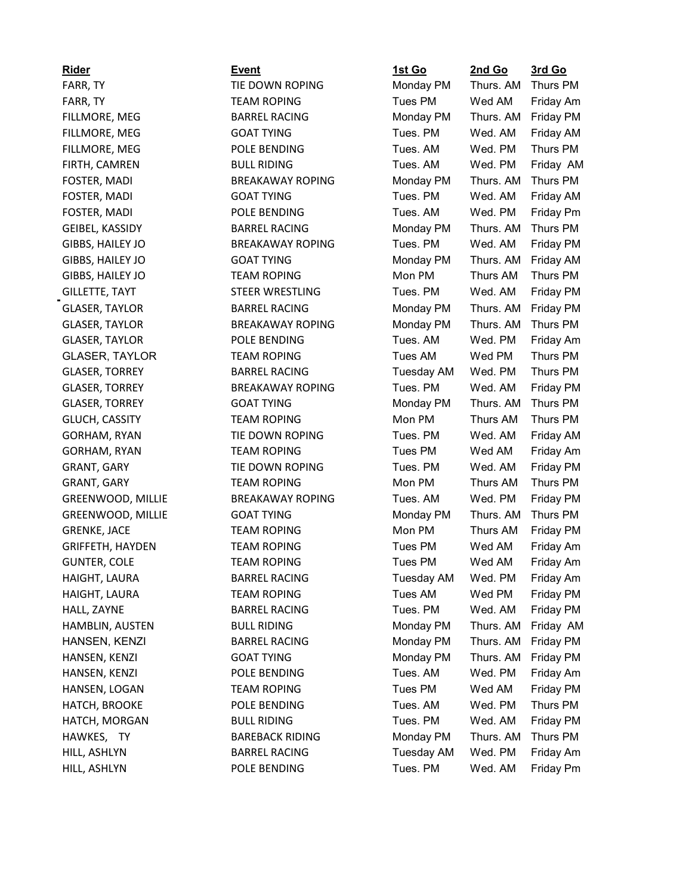| <b>Rider</b>             | <b>Event</b>            | <u>1st Go</u>     | 2nd Go    | 3rd Go    |
|--------------------------|-------------------------|-------------------|-----------|-----------|
| FARR, TY                 | TIE DOWN ROPING         | Monday PM         | Thurs. AM | Thurs PM  |
| FARR, TY                 | <b>TEAM ROPING</b>      | Tues PM           | Wed AM    | Friday Am |
| FILLMORE, MEG            | <b>BARREL RACING</b>    | Monday PM         | Thurs. AM | Friday PM |
| FILLMORE, MEG            | <b>GOAT TYING</b>       | Tues. PM          | Wed. AM   | Friday AM |
| FILLMORE, MEG            | POLE BENDING            | Tues. AM          | Wed, PM   | Thurs PM  |
| FIRTH, CAMREN            | <b>BULL RIDING</b>      | Tues. AM          | Wed. PM   | Friday AM |
| FOSTER, MADI             | <b>BREAKAWAY ROPING</b> | Monday PM         | Thurs. AM | Thurs PM  |
| FOSTER, MADI             | <b>GOAT TYING</b>       | Tues. PM          | Wed. AM   | Friday AM |
| FOSTER, MADI             | POLE BENDING            | Tues. AM          | Wed. PM   | Friday Pm |
| GEIBEL, KASSIDY          | <b>BARREL RACING</b>    | Monday PM         | Thurs. AM | Thurs PM  |
| GIBBS, HAILEY JO         | <b>BREAKAWAY ROPING</b> | Tues. PM          | Wed. AM   | Friday PM |
| GIBBS, HAILEY JO         | <b>GOAT TYING</b>       | Monday PM         | Thurs. AM | Friday AM |
| GIBBS, HAILEY JO         | <b>TEAM ROPING</b>      | Mon PM            | Thurs AM  | Thurs PM  |
| <b>GILLETTE, TAYT</b>    | STEER WRESTLING         | Tues. PM          | Wed. AM   | Friday PM |
| <b>GLASER, TAYLOR</b>    | <b>BARREL RACING</b>    | Monday PM         | Thurs. AM | Friday PM |
| <b>GLASER, TAYLOR</b>    | <b>BREAKAWAY ROPING</b> | Monday PM         | Thurs. AM | Thurs PM  |
| <b>GLASER, TAYLOR</b>    | POLE BENDING            | Tues, AM          | Wed. PM   | Friday Am |
| <b>GLASER, TAYLOR</b>    | <b>TEAM ROPING</b>      | Tues AM           | Wed PM    | Thurs PM  |
| <b>GLASER, TORREY</b>    | <b>BARREL RACING</b>    | Tuesday AM        | Wed. PM   | Thurs PM  |
| <b>GLASER, TORREY</b>    | <b>BREAKAWAY ROPING</b> | Tues. PM          | Wed. AM   | Friday PM |
| <b>GLASER, TORREY</b>    | <b>GOAT TYING</b>       | Monday PM         | Thurs. AM | Thurs PM  |
| <b>GLUCH, CASSITY</b>    | <b>TEAM ROPING</b>      | Mon PM            | Thurs AM  | Thurs PM  |
| GORHAM, RYAN             | TIE DOWN ROPING         | Tues. PM          | Wed. AM   | Friday AM |
| GORHAM, RYAN             | <b>TEAM ROPING</b>      | Tues PM           | Wed AM    | Friday Am |
| <b>GRANT, GARY</b>       | TIE DOWN ROPING         | Tues. PM          | Wed. AM   | Friday PM |
| GRANT, GARY              | <b>TEAM ROPING</b>      | Mon PM            | Thurs AM  | Thurs PM  |
| <b>GREENWOOD, MILLIE</b> | <b>BREAKAWAY ROPING</b> | Tues. AM          | Wed. PM   | Friday PM |
| <b>GREENWOOD, MILLIE</b> | <b>GOAT TYING</b>       | Monday PM         | Thurs. AM | Thurs PM  |
| <b>GRENKE, JACE</b>      | <b>TEAM ROPING</b>      | Mon PM            | Thurs AM  | Friday PM |
| <b>GRIFFETH, HAYDEN</b>  | <b>TEAM ROPING</b>      | Tues PM           | Wed AM    | Friday Am |
| <b>GUNTER, COLE</b>      | <b>TEAM ROPING</b>      | Tues PM           | Wed AM    | Friday Am |
| HAIGHT, LAURA            | <b>BARREL RACING</b>    | <b>Tuesday AM</b> | Wed. PM   | Friday Am |
| HAIGHT, LAURA            | <b>TEAM ROPING</b>      | Tues AM           | Wed PM    | Friday PM |
| HALL, ZAYNE              | <b>BARREL RACING</b>    | Tues. PM          | Wed. AM   | Friday PM |
| HAMBLIN, AUSTEN          | <b>BULL RIDING</b>      | Monday PM         | Thurs. AM | Friday AM |
| HANSEN, KENZI            | <b>BARREL RACING</b>    | Monday PM         | Thurs. AM | Friday PM |
| HANSEN, KENZI            | <b>GOAT TYING</b>       | Monday PM         | Thurs. AM | Friday PM |
| HANSEN, KENZI            | POLE BENDING            | Tues. AM          | Wed. PM   | Friday Am |
| HANSEN, LOGAN            | <b>TEAM ROPING</b>      | Tues PM           | Wed AM    | Friday PM |
| HATCH, BROOKE            | POLE BENDING            | Tues. AM          | Wed. PM   | Thurs PM  |
| HATCH, MORGAN            | <b>BULL RIDING</b>      | Tues. PM          | Wed. AM   | Friday PM |
| HAWKES, TY               | <b>BAREBACK RIDING</b>  | Monday PM         | Thurs. AM | Thurs PM  |
| HILL, ASHLYN             | <b>BARREL RACING</b>    | <b>Tuesday AM</b> | Wed. PM   | Friday Am |
| HILL, ASHLYN             | POLE BENDING            | Tues. PM          | Wed. AM   | Friday Pm |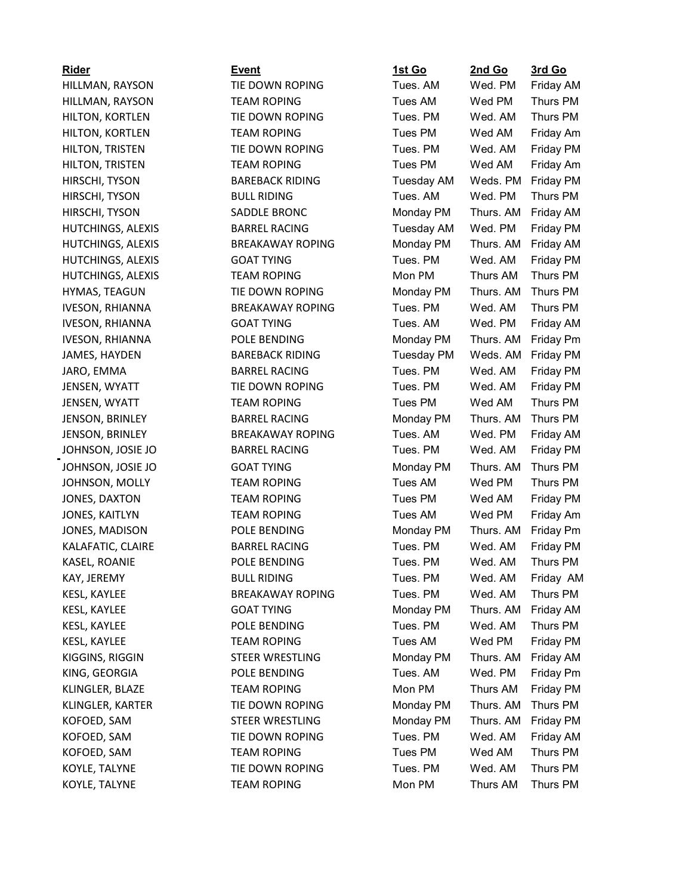## HILLMAN, RAYSON TIE DOWN ROPING HILLMAN, RAYSON TEAM ROPING HILTON, KORTLEN TIE DOWN ROPING HILTON, KORTLEN TEAM ROPING HILTON, TRISTEN TIE DOWN ROPING HILTON, TRISTEN TEAM ROPING HIRSCHI, TYSON BAREBACK RIDING HIRSCHI, TYSON BULL RIDING HIRSCHI, TYSON SADDLE BRONC HUTCHINGS, ALEXIS BARREL RACING HUTCHINGS, ALEXIS GOAT TYING HUTCHINGS, ALEXIS TEAM ROPING HYMAS, TEAGUN TIE DOWN ROPING IVESON, RHIANNA GOAT TYING IVESON, RHIANNA POLE BENDING JAMES, HAYDEN BAREBACK RIDING JENSEN, WYATT TIE DOWN ROPING JENSEN, WYATT TEAM ROPING JENSON, BRINLEY BARREL RACING JOHNSON, JOSIE JO BARREL RACING JOHNSON, JOSIE JO GOAT TYING JOHNSON, MOLLY TEAM ROPING JONES, DAXTON TEAM ROPING JONES, KAITLYN TEAM ROPING JONES, MADISON POLE BENDING KALAFATIC, CLAIRE BARREL RACING KASEL, ROANIE POLE BENDING KESL, KAYLEE GOAT TYING KIGGINS, RIGGIN STEER WRESTLING KING, GEORGIA POLE BENDING KLINGLER, BLAZE TEAM ROPING KLINGLER, KARTER TIE DOWN ROPING KOFOED, SAM STEER WRESTLING KOFOED, SAM TIE DOWN ROPING KOFOED, SAM TEAM ROPING KOYLE, TALYNE TIE DOWN ROPING KOYLE, TALYNE TEAM ROPING

| Rider             | <b>Event</b>            | 1st Go            | 2nd Go    | 3rd Go    |
|-------------------|-------------------------|-------------------|-----------|-----------|
| HILLMAN, RAYSON   | TIE DOWN ROPING         | Tues. AM          | Wed. PM   | Friday AM |
| HILLMAN, RAYSON   | <b>TEAM ROPING</b>      | Tues AM           | Wed PM    | Thurs PM  |
| HILTON, KORTLEN   | TIE DOWN ROPING         | Tues. PM          | Wed. AM   | Thurs PM  |
| HILTON, KORTLEN   | <b>TEAM ROPING</b>      | Tues PM           | Wed AM    | Friday Am |
| HILTON, TRISTEN   | TIE DOWN ROPING         | Tues. PM          | Wed. AM   | Friday PM |
| HILTON, TRISTEN   | <b>TEAM ROPING</b>      | Tues PM           | Wed AM    | Friday Am |
| HIRSCHI, TYSON    | <b>BAREBACK RIDING</b>  | <b>Tuesday AM</b> | Weds. PM  | Friday PM |
| HIRSCHI, TYSON    | <b>BULL RIDING</b>      | Tues, AM          | Wed. PM   | Thurs PM  |
| HIRSCHI, TYSON    | SADDLE BRONC            | Monday PM         | Thurs. AM | Friday AM |
| HUTCHINGS, ALEXIS | <b>BARREL RACING</b>    | <b>Tuesday AM</b> | Wed. PM   | Friday PM |
| HUTCHINGS, ALEXIS | <b>BREAKAWAY ROPING</b> | Monday PM         | Thurs. AM | Friday AM |
| HUTCHINGS, ALEXIS | <b>GOAT TYING</b>       | Tues. PM          | Wed. AM   | Friday PM |
| HUTCHINGS, ALEXIS | <b>TEAM ROPING</b>      | Mon PM            | Thurs AM  | Thurs PM  |
| HYMAS, TEAGUN     | TIE DOWN ROPING         | Monday PM         | Thurs. AM | Thurs PM  |
| IVESON, RHIANNA   | <b>BREAKAWAY ROPING</b> | Tues. PM          | Wed. AM   | Thurs PM  |
| IVESON, RHIANNA   | <b>GOAT TYING</b>       | Tues. AM          | Wed. PM   | Friday AM |
| IVESON, RHIANNA   | POLE BENDING            | Monday PM         | Thurs. AM | Friday Pm |
| JAMES, HAYDEN     | <b>BAREBACK RIDING</b>  | <b>Tuesday PM</b> | Weds. AM  | Friday PM |
| JARO, EMMA        | <b>BARREL RACING</b>    | Tues. PM          | Wed. AM   | Friday PM |
| JENSEN, WYATT     | TIE DOWN ROPING         | Tues. PM          | Wed. AM   | Friday PM |
| JENSEN, WYATT     | <b>TEAM ROPING</b>      | Tues PM           | Wed AM    | Thurs PM  |
| JENSON, BRINLEY   | <b>BARREL RACING</b>    | Monday PM         | Thurs. AM | Thurs PM  |
| JENSON, BRINLEY   | <b>BREAKAWAY ROPING</b> | Tues. AM          | Wed. PM   | Friday AM |
| JOHNSON, JOSIE JO | <b>BARREL RACING</b>    | Tues. PM          | Wed. AM   | Friday PM |
| JOHNSON, JOSIE JO | <b>GOAT TYING</b>       | Monday PM         | Thurs. AM | Thurs PM  |
| JOHNSON, MOLLY    | <b>TEAM ROPING</b>      | Tues AM           | Wed PM    | Thurs PM  |
| JONES, DAXTON     | <b>TEAM ROPING</b>      | Tues PM           | Wed AM    | Friday PM |
| JONES, KAITLYN    | <b>TEAM ROPING</b>      | Tues AM           | Wed PM    | Friday Am |
| JONES, MADISON    | POLE BENDING            | Monday PM         | Thurs. AM | Friday Pm |
| KALAFATIC, CLAIRE | <b>BARREL RACING</b>    | Tues. PM          | Wed. AM   | Friday PM |
| KASEL, ROANIE     | POLE BENDING            | Tues. PM          | Wed. AM   | Thurs PM  |
| KAY, JEREMY       | <b>BULL RIDING</b>      | Tues. PM          | Wed. AM   | Friday AM |
| KESL, KAYLEE      | <b>BREAKAWAY ROPING</b> | Tues. PM          | Wed. AM   | Thurs PM  |
| KESL, KAYLEE      | <b>GOAT TYING</b>       | Monday PM         | Thurs. AM | Friday AM |
| KESL, KAYLEE      | POLE BENDING            | Tues. PM          | Wed. AM   | Thurs PM  |
| KESL, KAYLEE      | <b>TEAM ROPING</b>      | Tues AM           | Wed PM    | Friday PM |
| KIGGINS, RIGGIN   | STEER WRESTLING         | Monday PM         | Thurs. AM | Friday AM |
| KING, GEORGIA     | POLE BENDING            | Tues. AM          | Wed. PM   | Friday Pm |
| KLINGLER, BLAZE   | <b>TEAM ROPING</b>      | Mon PM            | Thurs AM  | Friday PM |
| KLINGLER, KARTER  | TIE DOWN ROPING         | Monday PM         | Thurs. AM | Thurs PM  |
| KOFOED, SAM       | STEER WRESTLING         | Monday PM         | Thurs. AM | Friday PM |
| KOFOED, SAM       | TIE DOWN ROPING         | Tues. PM          | Wed. AM   | Friday AM |
| KOFOED, SAM       | <b>TEAM ROPING</b>      | Tues PM           | Wed AM    | Thurs PM  |
| KOYLE, TALYNE     | TIE DOWN ROPING         | Tues. PM          | Wed. AM   | Thurs PM  |
| KOYLE, TALYNE     | <b>TEAM ROPING</b>      | Mon PM            | Thurs AM  | Thurs PM  |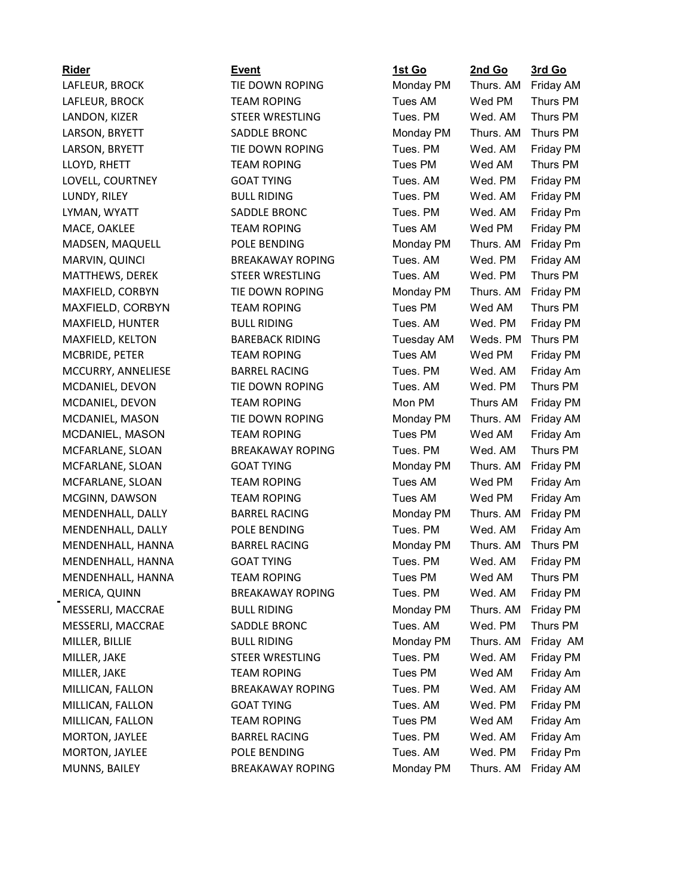### LAFLEUR, BROCK TIE DOWN ROPING LAFLEUR, BROCK TEAM ROPING LANDON, KIZER STEER WRESTLING LARSON, BRYETT SADDLE BRONC LARSON, BRYETT TIE DOWN ROPING LOVELL, COURTNEY GOAT TYING LYMAN, WYATT SADDLE BRONC MACE, OAKLEE TEAM ROPING MADSEN, MAQUELL POLE BENDING MARVIN, QUINCI BREAKAWAY ROPING MATTHEWS, DEREK STEER WRESTLING MAXFIELD, CORBYN TIE DOWN ROPING MAXFIELD, CORBYN TEAM ROPING MAXFIELD, HUNTER BULL RIDING MAXFIELD, KELTON BAREBACK RIDING MCBRIDE, PETER TEAM ROPING MCCURRY, ANNELIESE BARREL RACING MCDANIEL, DEVON TIE DOWN ROPING MCDANIEL, DEVON TEAM ROPING MCDANIEL, MASON TIE DOWN ROPING MCDANIEL, MASON TEAM ROPING MCFARLANE, SLOAN BREAKAWAY ROPING MCFARLANE, SLOAN GOAT TYING MCFARLANE, SLOAN TEAM ROPING MCGINN, DAWSON TEAM ROPING MENDENHALL, DALLY BARREL RACING MENDENHALL, DALLY POLE BENDING MENDENHALL, HANNA BARREL RACING MENDENHALL, HANNA GOAT TYING MENDENHALL, HANNA TEAM ROPING MERICA, QUINN BREAKAWAY ROPING MESSERLI, MACCRAE BULL RIDING MESSERLI, MACCRAE SADDLE BRONC MILLER, JAKE STEER WRESTLING MILLICAN, FALLON BREAKAWAY ROPING MILLICAN, FALLON GOAT TYING MILLICAN, FALLON TEAM ROPING MORTON, JAYLEE BARREL RACING MORTON, JAYLEE POLE BENDING MUNNS, BAILEY BREAKAWAY ROPING

| Rider                 | <b>Event</b>            | <u>1st Go</u>     | 2nd Go    | 3rd Go    |
|-----------------------|-------------------------|-------------------|-----------|-----------|
| LAFLEUR, BROCK        | TIE DOWN ROPING         | Monday PM         | Thurs. AM | Friday AM |
| LAFLEUR, BROCK        | <b>TEAM ROPING</b>      | Tues AM           | Wed PM    | Thurs PM  |
| LANDON, KIZER         | STEER WRESTLING         | Tues. PM          | Wed. AM   | Thurs PM  |
| LARSON, BRYETT        | SADDLE BRONC            | Monday PM         | Thurs. AM | Thurs PM  |
| LARSON, BRYETT        | TIE DOWN ROPING         | Tues. PM          | Wed. AM   | Friday PM |
| LLOYD, RHETT          | <b>TEAM ROPING</b>      | Tues PM           | Wed AM    | Thurs PM  |
| LOVELL, COURTNEY      | <b>GOAT TYING</b>       | Tues. AM          | Wed. PM   | Friday PM |
| LUNDY, RILEY          | <b>BULL RIDING</b>      | Tues. PM          | Wed. AM   | Friday PM |
| LYMAN, WYATT          | SADDLE BRONC            | Tues. PM          | Wed. AM   | Friday Pm |
| MACE, OAKLEE          | <b>TEAM ROPING</b>      | Tues AM           | Wed PM    | Friday PM |
| MADSEN, MAQUELL       | POLE BENDING            | Monday PM         | Thurs. AM | Friday Pm |
| MARVIN, QUINCI        | <b>BREAKAWAY ROPING</b> | Tues. AM          | Wed. PM   | Friday AM |
| MATTHEWS, DEREK       | STEER WRESTLING         | Tues. AM          | Wed. PM   | Thurs PM  |
| MAXFIELD, CORBYN      | TIE DOWN ROPING         | Monday PM         | Thurs. AM | Friday PM |
| MAXFIELD, CORBYN      | <b>TEAM ROPING</b>      | Tues PM           | Wed AM    | Thurs PM  |
| MAXFIELD, HUNTER      | <b>BULL RIDING</b>      | Tues. AM          | Wed. PM   | Friday PM |
| MAXFIELD, KELTON      | <b>BAREBACK RIDING</b>  | <b>Tuesday AM</b> | Weds. PM  | Thurs PM  |
| MCBRIDE, PETER        | <b>TEAM ROPING</b>      | Tues AM           | Wed PM    | Friday PM |
| MCCURRY, ANNELIESE    | <b>BARREL RACING</b>    | Tues. PM          | Wed. AM   | Friday Am |
| MCDANIEL, DEVON       | TIE DOWN ROPING         | Tues. AM          | Wed. PM   | Thurs PM  |
| MCDANIEL, DEVON       | <b>TEAM ROPING</b>      | Mon PM            | Thurs AM  | Friday PM |
| MCDANIEL, MASON       | TIE DOWN ROPING         | Monday PM         | Thurs. AM | Friday AM |
| MCDANIEL, MASON       | <b>TEAM ROPING</b>      | Tues PM           | Wed AM    | Friday Am |
| MCFARLANE, SLOAN      | <b>BREAKAWAY ROPING</b> | Tues. PM          | Wed. AM   | Thurs PM  |
| MCFARLANE, SLOAN      | <b>GOAT TYING</b>       | Monday PM         | Thurs. AM | Friday PM |
| MCFARLANE, SLOAN      | <b>TEAM ROPING</b>      | Tues AM           | Wed PM    | Friday Am |
| MCGINN, DAWSON        | <b>TEAM ROPING</b>      | Tues AM           | Wed PM    | Friday Am |
| MENDENHALL, DALLY     | <b>BARREL RACING</b>    | Monday PM         | Thurs. AM | Friday PM |
| MENDENHALL, DALLY     | POLE BENDING            | Tues. PM          | Wed. AM   | Friday Am |
| MENDENHALL, HANNA     | <b>BARREL RACING</b>    | Monday PM         | Thurs. AM | Thurs PM  |
| MENDENHALL, HANNA     | <b>GOAT TYING</b>       | Tues. PM          | Wed. AM   | Friday PM |
| MENDENHALL, HANNA     | <b>TEAM ROPING</b>      | Tues PM           | Wed AM    | Thurs PM  |
| MERICA, QUINN         | <b>BREAKAWAY ROPING</b> | Tues. PM          | Wed. AM   | Friday PM |
| MESSERLI, MACCRAE     | <b>BULL RIDING</b>      | Monday PM         | Thurs. AM | Friday PM |
| MESSERLI, MACCRAE     | SADDLE BRONC            | Tues. AM          | Wed. PM   | Thurs PM  |
| MILLER, BILLIE        | <b>BULL RIDING</b>      | Monday PM         | Thurs. AM | Friday AM |
| MILLER, JAKE          | STEER WRESTLING         | Tues. PM          | Wed. AM   | Friday PM |
| MILLER, JAKE          | <b>TEAM ROPING</b>      | Tues PM           | Wed AM    | Friday Am |
| MILLICAN, FALLON      | <b>BREAKAWAY ROPING</b> | Tues. PM          | Wed. AM   | Friday AM |
| MILLICAN, FALLON      | <b>GOAT TYING</b>       | Tues. AM          | Wed. PM   | Friday PM |
| MILLICAN, FALLON      | <b>TEAM ROPING</b>      | Tues PM           | Wed AM    | Friday Am |
| MORTON, JAYLEE        | <b>BARREL RACING</b>    | Tues. PM          | Wed. AM   | Friday Am |
| <b>MORTON, JAYLEE</b> | POLE BENDING            | Tues. AM          | Wed. PM   | Friday Pm |
| MUNNS, BAILEY         | <b>BREAKAWAY ROPING</b> | Monday PM         | Thurs. AM | Friday AM |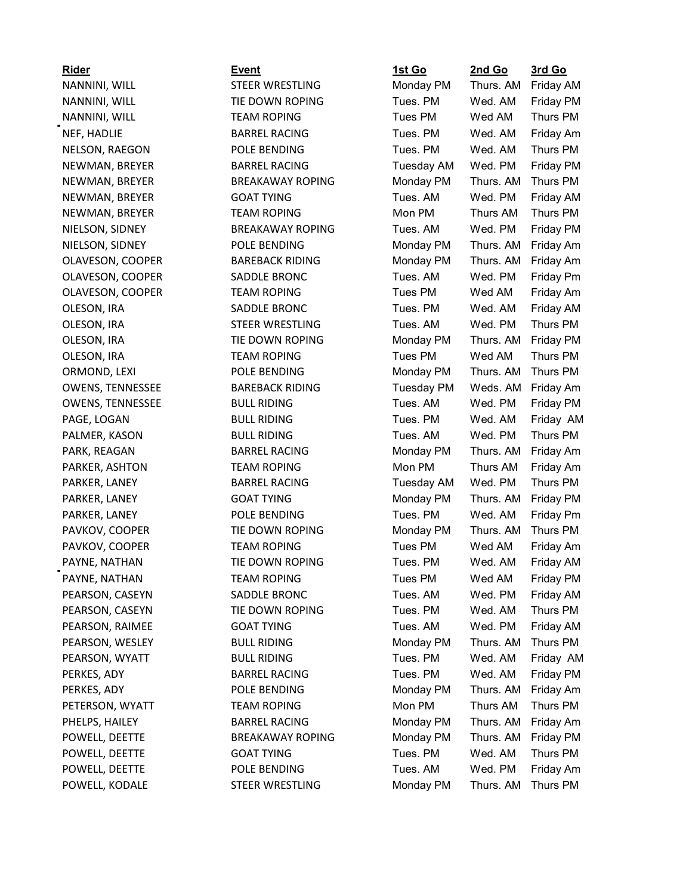| <b>Rider</b>            | Event                   | 1st Go            | 2nd Go    | 3rd Go    |
|-------------------------|-------------------------|-------------------|-----------|-----------|
| NANNINI, WILL           | STEER WRESTLING         | Monday PM         | Thurs. AM | Friday AM |
| NANNINI, WILL           | TIE DOWN ROPING         | Tues. PM          | Wed. AM   | Friday PM |
| NANNINI, WILL           | <b>TEAM ROPING</b>      | Tues PM           | Wed AM    | Thurs PM  |
| NEF, HADLIE             | <b>BARREL RACING</b>    | Tues. PM          | Wed. AM   | Friday Am |
| NELSON, RAEGON          | POLE BENDING            | Tues. PM          | Wed. AM   | Thurs PM  |
| NEWMAN, BREYER          | <b>BARREL RACING</b>    | <b>Tuesday AM</b> | Wed. PM   | Friday PM |
| NEWMAN, BREYER          | <b>BREAKAWAY ROPING</b> | Monday PM         | Thurs. AM | Thurs PM  |
| NEWMAN, BREYER          | <b>GOAT TYING</b>       | Tues. AM          | Wed. PM   | Friday AM |
| NEWMAN, BREYER          | <b>TEAM ROPING</b>      | Mon PM            | Thurs AM  | Thurs PM  |
| NIELSON, SIDNEY         | <b>BREAKAWAY ROPING</b> | Tues. AM          | Wed. PM   | Friday PM |
| NIELSON, SIDNEY         | POLE BENDING            | Monday PM         | Thurs. AM | Friday Am |
| OLAVESON, COOPER        | <b>BAREBACK RIDING</b>  | Monday PM         | Thurs. AM | Friday Am |
| OLAVESON, COOPER        | SADDLE BRONC            | Tues. AM          | Wed. PM   | Friday Pm |
| OLAVESON, COOPER        | <b>TEAM ROPING</b>      | Tues PM           | Wed AM    | Friday Am |
| OLESON, IRA             | SADDLE BRONC            | Tues. PM          | Wed. AM   | Friday AM |
| OLESON, IRA             | STEER WRESTLING         | Tues. AM          | Wed. PM   | Thurs PM  |
| OLESON, IRA             | TIE DOWN ROPING         | Monday PM         | Thurs. AM | Friday PM |
| OLESON, IRA             | <b>TEAM ROPING</b>      | Tues PM           | Wed AM    | Thurs PM  |
| ORMOND, LEXI            | POLE BENDING            | Monday PM         | Thurs. AM | Thurs PM  |
| <b>OWENS, TENNESSEE</b> | <b>BAREBACK RIDING</b>  | <b>Tuesday PM</b> | Weds. AM  | Friday Am |
| <b>OWENS, TENNESSEE</b> | <b>BULL RIDING</b>      | Tues. AM          | Wed. PM   | Friday PM |
| PAGE, LOGAN             | <b>BULL RIDING</b>      | Tues. PM          | Wed. AM   | Friday AM |
| PALMER, KASON           | <b>BULL RIDING</b>      | Tues. AM          | Wed. PM   | Thurs PM  |
| PARK, REAGAN            | <b>BARREL RACING</b>    | Monday PM         | Thurs. AM | Friday Am |
| PARKER, ASHTON          | <b>TEAM ROPING</b>      | Mon PM            | Thurs AM  | Friday Am |
| PARKER, LANEY           | <b>BARREL RACING</b>    | <b>Tuesday AM</b> | Wed. PM   | Thurs PM  |
| PARKER, LANEY           | <b>GOAT TYING</b>       | Monday PM         | Thurs. AM | Friday PM |
| PARKER, LANEY           | POLE BENDING            | Tues. PM          | Wed. AM   | Friday Pm |
| PAVKOV, COOPER          | TIE DOWN ROPING         | Monday PM         | Thurs. AM | Thurs PM  |
| PAVKOV, COOPER          | <b>TEAM ROPING</b>      | Tues PM           | Wed AM    | Friday Am |
| PAYNE, NATHAN           | TIE DOWN ROPING         | Tues. PM          | Wed. AM   | Friday AM |
| PAYNE, NATHAN           | <b>TEAM ROPING</b>      | Tues PM           | Wed AM    | Friday PM |
| PEARSON, CASEYN         | SADDLE BRONC            | Tues. AM          | Wed. PM   | Friday AM |
| PEARSON, CASEYN         | TIE DOWN ROPING         | Tues. PM          | Wed. AM   | Thurs PM  |
| PEARSON, RAIMEE         | <b>GOAT TYING</b>       | Tues. AM          | Wed. PM   | Friday AM |
| PEARSON, WESLEY         | <b>BULL RIDING</b>      | Monday PM         | Thurs. AM | Thurs PM  |
| PEARSON, WYATT          | <b>BULL RIDING</b>      | Tues. PM          | Wed. AM   | Friday AM |
| PERKES, ADY             | <b>BARREL RACING</b>    | Tues. PM          | Wed. AM   | Friday PM |
| PERKES, ADY             | POLE BENDING            | Monday PM         | Thurs. AM | Friday Am |
| PETERSON, WYATT         | <b>TEAM ROPING</b>      | Mon PM            | Thurs AM  | Thurs PM  |
| PHELPS, HAILEY          | <b>BARREL RACING</b>    | Monday PM         | Thurs. AM | Friday Am |
| POWELL, DEETTE          | <b>BREAKAWAY ROPING</b> | Monday PM         | Thurs. AM | Friday PM |
| POWELL, DEETTE          | <b>GOAT TYING</b>       | Tues. PM          | Wed. AM   | Thurs PM  |
| POWELL, DEETTE          | POLE BENDING            | Tues. AM          | Wed. PM   | Friday Am |
| POWELL, KODALE          | STEER WRESTLING         | Monday PM         | Thurs. AM | Thurs PM  |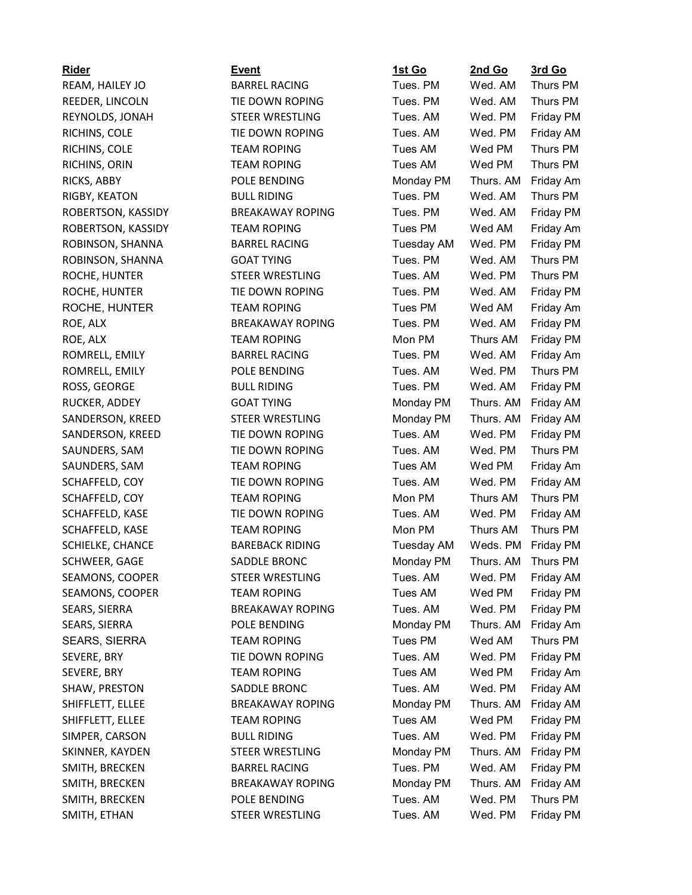| Rider              | <b>Event</b>            | 1st Go            | 2nd Go    | 3rd Go    |
|--------------------|-------------------------|-------------------|-----------|-----------|
| REAM, HAILEY JO    | <b>BARREL RACING</b>    | Tues. PM          | Wed. AM   | Thurs PM  |
| REEDER, LINCOLN    | TIE DOWN ROPING         | Tues. PM          | Wed. AM   | Thurs PM  |
| REYNOLDS, JONAH    | STEER WRESTLING         | Tues. AM          | Wed. PM   | Friday PM |
| RICHINS, COLE      | TIE DOWN ROPING         | Tues. AM          | Wed. PM   | Friday AM |
| RICHINS, COLE      | <b>TEAM ROPING</b>      | Tues AM           | Wed PM    | Thurs PM  |
| RICHINS, ORIN      | <b>TEAM ROPING</b>      | Tues AM           | Wed PM    | Thurs PM  |
| RICKS, ABBY        | POLE BENDING            | Monday PM         | Thurs. AM | Friday Am |
| RIGBY, KEATON      | <b>BULL RIDING</b>      | Tues. PM          | Wed. AM   | Thurs PM  |
| ROBERTSON, KASSIDY | <b>BREAKAWAY ROPING</b> | Tues. PM          | Wed. AM   | Friday PM |
| ROBERTSON, KASSIDY | <b>TEAM ROPING</b>      | Tues PM           | Wed AM    | Friday Am |
| ROBINSON, SHANNA   | <b>BARREL RACING</b>    | <b>Tuesday AM</b> | Wed. PM   | Friday PM |
| ROBINSON, SHANNA   | <b>GOAT TYING</b>       | Tues. PM          | Wed. AM   | Thurs PM  |
| ROCHE, HUNTER      | STEER WRESTLING         | Tues. AM          | Wed. PM   | Thurs PM  |
| ROCHE, HUNTER      | TIE DOWN ROPING         | Tues. PM          | Wed. AM   | Friday PM |
| ROCHE, HUNTER      | <b>TEAM ROPING</b>      | Tues PM           | Wed AM    | Friday Am |
| ROE, ALX           | <b>BREAKAWAY ROPING</b> | Tues. PM          | Wed. AM   | Friday PM |
| ROE, ALX           | <b>TEAM ROPING</b>      | Mon PM            | Thurs AM  | Friday PM |
| ROMRELL, EMILY     | <b>BARREL RACING</b>    | Tues. PM          | Wed. AM   | Friday Am |
| ROMRELL, EMILY     | POLE BENDING            | Tues. AM          | Wed. PM   | Thurs PM  |
| ROSS, GEORGE       | <b>BULL RIDING</b>      | Tues. PM          | Wed. AM   | Friday PM |
| RUCKER, ADDEY      | <b>GOAT TYING</b>       | Monday PM         | Thurs. AM | Friday AM |
| SANDERSON, KREED   | STEER WRESTLING         | Monday PM         | Thurs. AM | Friday AM |
| SANDERSON, KREED   | TIE DOWN ROPING         | Tues. AM          | Wed. PM   | Friday PM |
| SAUNDERS, SAM      | TIE DOWN ROPING         | Tues. AM          | Wed. PM   | Thurs PM  |
| SAUNDERS, SAM      | <b>TEAM ROPING</b>      | Tues AM           | Wed PM    | Friday Am |
| SCHAFFELD, COY     | TIE DOWN ROPING         | Tues. AM          | Wed. PM   | Friday AM |
| SCHAFFELD, COY     | <b>TEAM ROPING</b>      | Mon PM            | Thurs AM  | Thurs PM  |
| SCHAFFELD, KASE    | TIE DOWN ROPING         | Tues. AM          | Wed. PM   | Friday AM |
| SCHAFFELD, KASE    | <b>TEAM ROPING</b>      | Mon PM            | Thurs AM  | Thurs PM  |
| SCHIELKE, CHANCE   | <b>BAREBACK RIDING</b>  | Tuesday AM        | Weds. PM  | Friday PM |
| SCHWEER, GAGE      | SADDLE BRONC            | Monday PM         | Thurs. AM | Thurs PM  |
| SEAMONS, COOPER    | <b>STEER WRESTLING</b>  | Tues. AM          | Wed. PM   | Friday AM |
| SEAMONS, COOPER    | <b>TEAM ROPING</b>      | Tues AM           | Wed PM    | Friday PM |
| SEARS, SIERRA      | <b>BREAKAWAY ROPING</b> | Tues. AM          | Wed. PM   | Friday PM |
| SEARS, SIERRA      | POLE BENDING            | Monday PM         | Thurs. AM | Friday Am |
| SEARS, SIERRA      | <b>TEAM ROPING</b>      | Tues PM           | Wed AM    | Thurs PM  |
| SEVERE, BRY        | TIE DOWN ROPING         | Tues. AM          | Wed. PM   | Friday PM |
| SEVERE, BRY        | <b>TEAM ROPING</b>      | Tues AM           | Wed PM    | Friday Am |
| SHAW, PRESTON      | SADDLE BRONC            | Tues. AM          | Wed. PM   | Friday AM |
| SHIFFLETT, ELLEE   | <b>BREAKAWAY ROPING</b> | Monday PM         | Thurs. AM | Friday AM |
| SHIFFLETT, ELLEE   | <b>TEAM ROPING</b>      | Tues AM           | Wed PM    | Friday PM |
| SIMPER, CARSON     | <b>BULL RIDING</b>      | Tues. AM          | Wed. PM   | Friday PM |
| SKINNER, KAYDEN    | STEER WRESTLING         | Monday PM         | Thurs. AM | Friday PM |
| SMITH, BRECKEN     | <b>BARREL RACING</b>    | Tues. PM          | Wed. AM   | Friday PM |
|                    | <b>BREAKAWAY ROPING</b> | Monday PM         | Thurs. AM | Friday AM |
| SMITH, BRECKEN     |                         | Tues. AM          | Wed. PM   | Thurs PM  |
| SMITH, BRECKEN     | POLE BENDING            |                   |           |           |
| SMITH, ETHAN       | STEER WRESTLING         | Tues. AM          | Wed. PM   | Friday PM |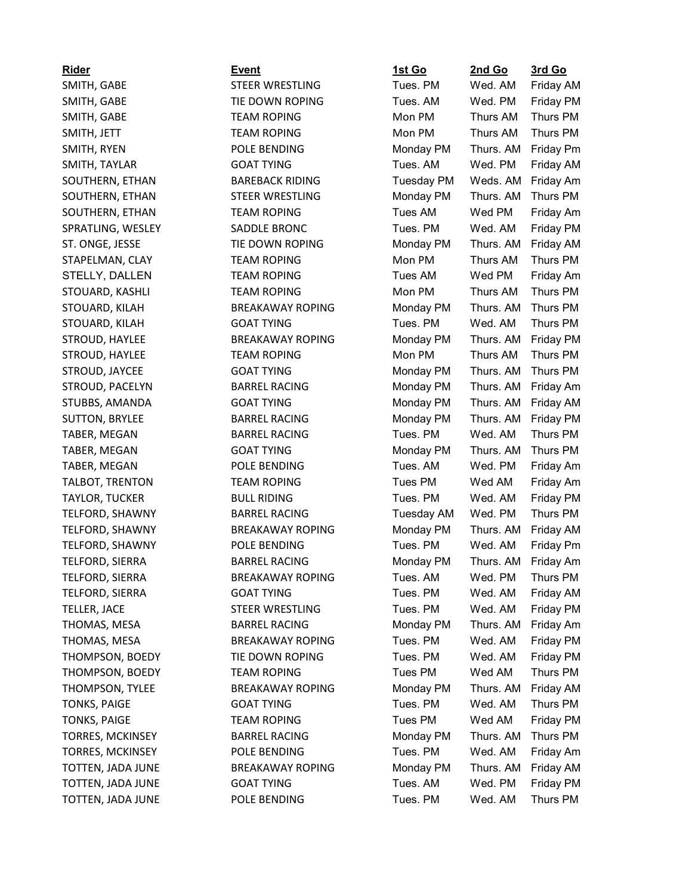| <b>Rider</b>            | <b>Event</b>            | <u>1st Go</u>     | 2nd Go    | <u>3rd Go</u>    |
|-------------------------|-------------------------|-------------------|-----------|------------------|
| SMITH, GABE             | <b>STEER WRESTLING</b>  | Tues. PM          | Wed. AM   | Friday AM        |
| SMITH, GABE             | TIE DOWN ROPING         | Tues. AM          | Wed. PM   | <b>Friday PM</b> |
| SMITH, GABE             | <b>TEAM ROPING</b>      | Mon PM            | Thurs AM  | Thurs PM         |
| SMITH, JETT             | <b>TEAM ROPING</b>      | Mon PM            | Thurs AM  | Thurs PM         |
| SMITH, RYEN             | POLE BENDING            | Monday PM         | Thurs. AM | <b>Friday Pm</b> |
| SMITH, TAYLAR           | <b>GOAT TYING</b>       | Tues. AM          | Wed. PM   | Friday AM        |
| SOUTHERN, ETHAN         | <b>BAREBACK RIDING</b>  | <b>Tuesday PM</b> | Weds. AM  | Friday Am        |
| SOUTHERN, ETHAN         | <b>STEER WRESTLING</b>  | Monday PM         | Thurs. AM | Thurs PM         |
| SOUTHERN, ETHAN         | <b>TEAM ROPING</b>      | Tues AM           | Wed PM    | Friday Am        |
| SPRATLING, WESLEY       | SADDLE BRONC            | Tues, PM          | Wed. AM   | <b>Friday PM</b> |
| ST. ONGE, JESSE         | TIE DOWN ROPING         | Monday PM         | Thurs. AM | <b>Friday AM</b> |
| STAPELMAN, CLAY         | <b>TEAM ROPING</b>      | Mon PM            | Thurs AM  | Thurs PM         |
| STELLY, DALLEN          | <b>TEAM ROPING</b>      | Tues AM           | Wed PM    | Friday Am        |
| STOUARD, KASHLI         | <b>TEAM ROPING</b>      | Mon PM            | Thurs AM  | Thurs PM         |
| STOUARD, KILAH          | <b>BREAKAWAY ROPING</b> | Monday PM         | Thurs. AM | Thurs PM         |
| STOUARD, KILAH          | <b>GOAT TYING</b>       | Tues. PM          | Wed. AM   | Thurs PM         |
| STROUD, HAYLEE          | <b>BREAKAWAY ROPING</b> | Monday PM         | Thurs. AM | <b>Friday PM</b> |
| STROUD, HAYLEE          | <b>TEAM ROPING</b>      | Mon PM            | Thurs AM  | Thurs PM         |
| STROUD, JAYCEE          | <b>GOAT TYING</b>       | Monday PM         | Thurs. AM | Thurs PM         |
| STROUD, PACELYN         | <b>BARREL RACING</b>    | Monday PM         | Thurs. AM | Friday Am        |
| STUBBS, AMANDA          | <b>GOAT TYING</b>       | Monday PM         | Thurs. AM | Friday AM        |
| <b>SUTTON, BRYLEE</b>   | <b>BARREL RACING</b>    | Monday PM         | Thurs. AM | <b>Friday PM</b> |
| TABER, MEGAN            | <b>BARREL RACING</b>    | Tues. PM          | Wed. AM   | Thurs PM         |
| TABER, MEGAN            | <b>GOAT TYING</b>       | Monday PM         | Thurs. AM | Thurs PM         |
| TABER, MEGAN            | POLE BENDING            | Tues. AM          | Wed. PM   | Friday Am        |
| TALBOT, TRENTON         | <b>TEAM ROPING</b>      | Tues PM           | Wed AM    | Friday Am        |
| <b>TAYLOR, TUCKER</b>   | <b>BULL RIDING</b>      | Tues. PM          | Wed. AM   | Friday PM        |
| TELFORD, SHAWNY         | <b>BARREL RACING</b>    | Tuesday AM        | Wed. PM   | Thurs PM         |
| TELFORD, SHAWNY         | <b>BREAKAWAY ROPING</b> | Monday PM         | Thurs. AM | <b>Friday AM</b> |
| TELFORD, SHAWNY         | POLE BENDING            | Tues, PM          | Wed. AM   | Friday Pm        |
| TELFORD, SIERRA         | <b>BARREL RACING</b>    | Monday PM         | Thurs. AM | Friday Am        |
| TELFORD, SIERRA         | <b>BREAKAWAY ROPING</b> | Tues. AM          | Wed. PM   | Thurs PM         |
| TELFORD, SIERRA         | <b>GOAT TYING</b>       | Tues. PM          | Wed. AM   | Friday AM        |
| TELLER, JACE            | STEER WRESTLING         | Tues. PM          | Wed. AM   | <b>Friday PM</b> |
| THOMAS, MESA            | <b>BARREL RACING</b>    | Monday PM         | Thurs. AM | Friday Am        |
| THOMAS, MESA            | <b>BREAKAWAY ROPING</b> | Tues. PM          | Wed. AM   | <b>Friday PM</b> |
| THOMPSON, BOEDY         | TIE DOWN ROPING         | Tues. PM          | Wed. AM   | Friday PM        |
| THOMPSON, BOEDY         | <b>TEAM ROPING</b>      | Tues PM           | Wed AM    | Thurs PM         |
| THOMPSON, TYLEE         | <b>BREAKAWAY ROPING</b> | Monday PM         | Thurs. AM | Friday AM        |
| <b>TONKS, PAIGE</b>     | <b>GOAT TYING</b>       | Tues. PM          | Wed. AM   | Thurs PM         |
| <b>TONKS, PAIGE</b>     | <b>TEAM ROPING</b>      | Tues PM           | Wed AM    | <b>Friday PM</b> |
| <b>TORRES, MCKINSEY</b> | <b>BARREL RACING</b>    | Monday PM         | Thurs. AM | Thurs PM         |
| <b>TORRES, MCKINSEY</b> | POLE BENDING            | Tues. PM          | Wed. AM   | Friday Am        |
| TOTTEN, JADA JUNE       | <b>BREAKAWAY ROPING</b> | Monday PM         | Thurs. AM | Friday AM        |
| TOTTEN, JADA JUNE       | <b>GOAT TYING</b>       | Tues. AM          | Wed. PM   | <b>Friday PM</b> |
| TOTTEN, JADA JUNE       | POLE BENDING            | Tues. PM          | Wed. AM   | Thurs PM         |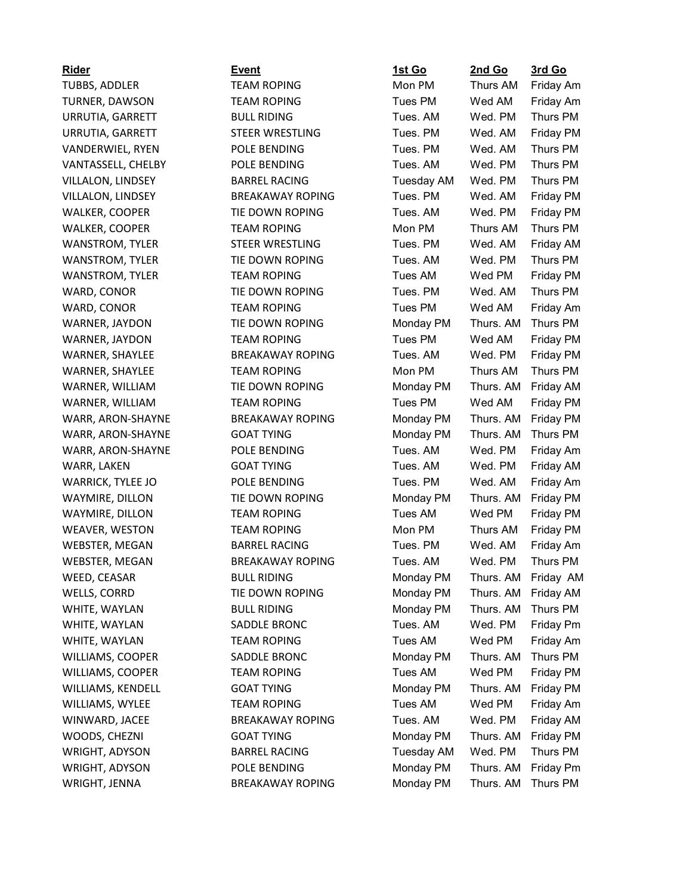| <u>Rider</u>             |
|--------------------------|
| <b>TUBBS, ADDLER</b>     |
| <b>TURNER, DAWSON</b>    |
| URRUTIA, GARRETT         |
| URRUTIA, GARRETT         |
| VANDERWIEL, RYEN         |
| VANTASSELL, CHELBY       |
| VILLALON, LINDSEY        |
| VILLALON, LINDSEY        |
| WALKER, COOPER           |
| WALKER, COOPER           |
| <b>WANSTROM, TYLER</b>   |
| WANSTROM, TYLER          |
| WANSTROM, TYLER          |
| WARD, CONOR              |
| WARD, CONOR              |
| WARNER, JAYDON           |
| WARNER, JAYDON           |
| <b>WARNER, SHAYLEE</b>   |
| WARNER, SHAYLEE          |
| WARNER, WILLIAM          |
| WARNER, WILLIAM          |
| WARR, ARON-SHAYNE        |
| WARR, ARON-SHAYNE        |
| WARR, ARON-SHAYNE        |
| WARR, LAKEN              |
| <b>WARRICK, TYLEE JO</b> |
| WAYMIRE, DILLON          |
| WAYMIRE, DILLON          |
| WEAVER, WESTON           |
| WEBSTER, MEGAN           |
| WEBSTER, MEGAN           |
| WEED, CEASAR             |
| WELLS, CORRD             |
| WHITE, WAYLAN            |
| WHITE, WAYLAN            |
| WHITE, WAYLAN            |
| WILLIAMS, COOPER         |
| WILLIAMS, COOPER         |
| WILLIAMS, KENDELL        |
| WILLIAMS, WYLEE          |
| WINWARD, JACEE           |
| WOODS, CHEZNI            |
| <b>WRIGHT, ADYSON</b>    |
| <b>WRIGHT, ADYSON</b>    |
| WRIGHT, JENNA            |
|                          |

| Rider                 | <b>Event</b>            | <u>1st Go</u>     | 2nd Go    | 3rd Go    |
|-----------------------|-------------------------|-------------------|-----------|-----------|
| TUBBS, ADDLER         | <b>TEAM ROPING</b>      | Mon PM            | Thurs AM  | Friday Am |
| TURNER, DAWSON        | <b>TEAM ROPING</b>      | Tues PM           | Wed AM    | Friday Am |
| URRUTIA, GARRETT      | <b>BULL RIDING</b>      | Tues. AM          | Wed. PM   | Thurs PM  |
| URRUTIA, GARRETT      | <b>STEER WRESTLING</b>  | Tues. PM          | Wed. AM   | Friday PM |
| VANDERWIEL, RYEN      | POLE BENDING            | Tues. PM          | Wed. AM   | Thurs PM  |
| VANTASSELL, CHELBY    | POLE BENDING            | Tues. AM          | Wed. PM   | Thurs PM  |
| VILLALON, LINDSEY     | <b>BARREL RACING</b>    | <b>Tuesday AM</b> | Wed. PM   | Thurs PM  |
| VILLALON, LINDSEY     | <b>BREAKAWAY ROPING</b> | Tues. PM          | Wed. AM   | Friday PM |
| WALKER, COOPER        | TIE DOWN ROPING         | Tues. AM          | Wed. PM   | Friday PM |
| WALKER, COOPER        | <b>TEAM ROPING</b>      | Mon PM            | Thurs AM  | Thurs PM  |
| WANSTROM, TYLER       | STEER WRESTLING         | Tues. PM          | Wed. AM   | Friday AM |
| WANSTROM, TYLER       | TIE DOWN ROPING         | Tues. AM          | Wed. PM   | Thurs PM  |
| WANSTROM, TYLER       | <b>TEAM ROPING</b>      | Tues AM           | Wed PM    | Friday PM |
| WARD, CONOR           | TIE DOWN ROPING         | Tues. PM          | Wed. AM   | Thurs PM  |
| WARD, CONOR           | <b>TEAM ROPING</b>      | Tues PM           | Wed AM    | Friday Am |
| WARNER, JAYDON        | TIE DOWN ROPING         | Monday PM         | Thurs. AM | Thurs PM  |
| WARNER, JAYDON        | <b>TEAM ROPING</b>      | Tues PM           | Wed AM    | Friday PM |
| WARNER, SHAYLEE       | <b>BREAKAWAY ROPING</b> | Tues, AM          | Wed. PM   | Friday PM |
| WARNER, SHAYLEE       | <b>TEAM ROPING</b>      | Mon PM            | Thurs AM  | Thurs PM  |
| WARNER, WILLIAM       | TIE DOWN ROPING         | Monday PM         | Thurs. AM | Friday AM |
| WARNER, WILLIAM       | <b>TEAM ROPING</b>      | Tues PM           | Wed AM    | Friday PM |
| WARR, ARON-SHAYNE     | <b>BREAKAWAY ROPING</b> | Monday PM         | Thurs. AM | Friday PM |
| WARR, ARON-SHAYNE     | <b>GOAT TYING</b>       | Monday PM         | Thurs. AM | Thurs PM  |
| WARR, ARON-SHAYNE     | POLE BENDING            | Tues. AM          | Wed. PM   | Friday Am |
| WARR, LAKEN           | <b>GOAT TYING</b>       | Tues. AM          | Wed. PM   | Friday AM |
| WARRICK, TYLEE JO     | POLE BENDING            | Tues. PM          | Wed. AM   | Friday Am |
| WAYMIRE, DILLON       | TIE DOWN ROPING         | Monday PM         | Thurs. AM | Friday PM |
| WAYMIRE, DILLON       | <b>TEAM ROPING</b>      | Tues AM           | Wed PM    | Friday PM |
| <b>WEAVER, WESTON</b> | <b>TEAM ROPING</b>      | Mon PM            | Thurs AM  | Friday PM |
| WEBSTER, MEGAN        | <b>BARREL RACING</b>    | Tues. PM          | Wed. AM   | Friday Am |
| WEBSTER, MEGAN        | <b>BREAKAWAY ROPING</b> | Tues. AM          | Wed. PM   | Thurs PM  |
| WEED, CEASAR          | <b>BULL RIDING</b>      | Monday PM         | Thurs. AM | Friday AM |
| WELLS, CORRD          | TIE DOWN ROPING         | Monday PM         | Thurs. AM | Friday AM |
| WHITE, WAYLAN         | <b>BULL RIDING</b>      | Monday PM         | Thurs. AM | Thurs PM  |
| WHITE, WAYLAN         | SADDLE BRONC            | Tues. AM          | Wed. PM   | Friday Pm |
| WHITE, WAYLAN         | <b>TEAM ROPING</b>      | Tues AM           | Wed PM    | Friday Am |
| WILLIAMS, COOPER      | SADDLE BRONC            | Monday PM         | Thurs. AM | Thurs PM  |
| WILLIAMS, COOPER      | <b>TEAM ROPING</b>      | Tues AM           | Wed PM    | Friday PM |
| WILLIAMS, KENDELL     | <b>GOAT TYING</b>       | Monday PM         | Thurs. AM | Friday PM |
| WILLIAMS, WYLEE       | <b>TEAM ROPING</b>      | Tues AM           | Wed PM    | Friday Am |
| WINWARD, JACEE        | <b>BREAKAWAY ROPING</b> | Tues. AM          | Wed. PM   | Friday AM |
| WOODS, CHEZNI         | <b>GOAT TYING</b>       | Monday PM         | Thurs. AM | Friday PM |
| WRIGHT, ADYSON        | <b>BARREL RACING</b>    | <b>Tuesday AM</b> | Wed. PM   | Thurs PM  |
| WRIGHT, ADYSON        | POLE BENDING            | Monday PM         | Thurs. AM | Friday Pm |
| WRIGHT, JENNA         | <b>BREAKAWAY ROPING</b> | Monday PM         | Thurs. AM | Thurs PM  |